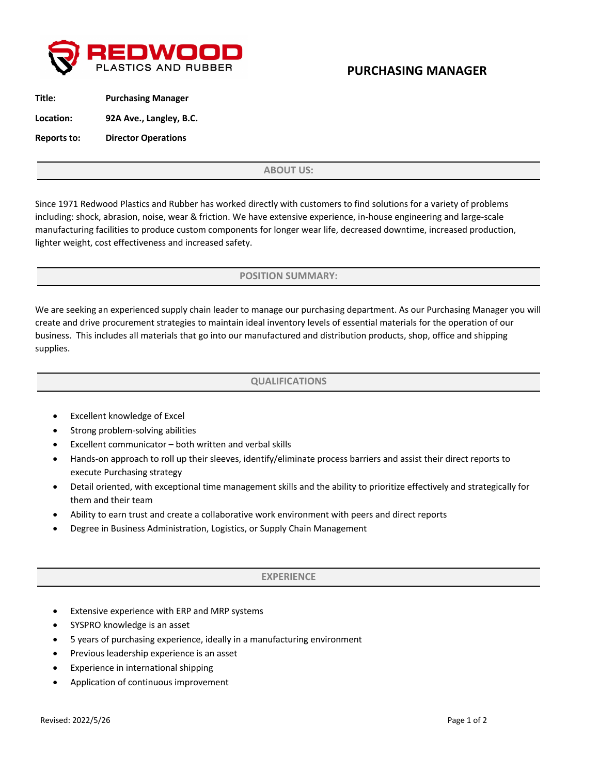

# **PURCHASING MANAGER**

| Title:      | <b>Purchasing Manager</b>  |
|-------------|----------------------------|
| Location:   | 92A Ave., Langley, B.C.    |
| Reports to: | <b>Director Operations</b> |

**ABOUT US:**

Since 1971 Redwood Plastics and Rubber has worked directly with customers to find solutions for a variety of problems including: shock, abrasion, noise, wear & friction. We have extensive experience, in-house engineering and large-scale manufacturing facilities to produce custom components for longer wear life, decreased downtime, increased production, lighter weight, cost effectiveness and increased safety.

**POSITION SUMMARY:**

We are seeking an experienced supply chain leader to manage our purchasing department. As our Purchasing Manager you will create and drive procurement strategies to maintain ideal inventory levels of essential materials for the operation of our business. This includes all materials that go into our manufactured and distribution products, shop, office and shipping supplies.

### **QUALIFICATIONS**

- Excellent knowledge of Excel
- Strong problem-solving abilities
- Excellent communicator both written and verbal skills
- Hands-on approach to roll up their sleeves, identify/eliminate process barriers and assist their direct reports to execute Purchasing strategy
- Detail oriented, with exceptional time management skills and the ability to prioritize effectively and strategically for them and their team
- Ability to earn trust and create a collaborative work environment with peers and direct reports
- Degree in Business Administration, Logistics, or Supply Chain Management

#### **EXPERIENCE**

- Extensive experience with ERP and MRP systems
- SYSPRO knowledge is an asset
- 5 years of purchasing experience, ideally in a manufacturing environment
- Previous leadership experience is an asset
- Experience in international shipping
- Application of continuous improvement